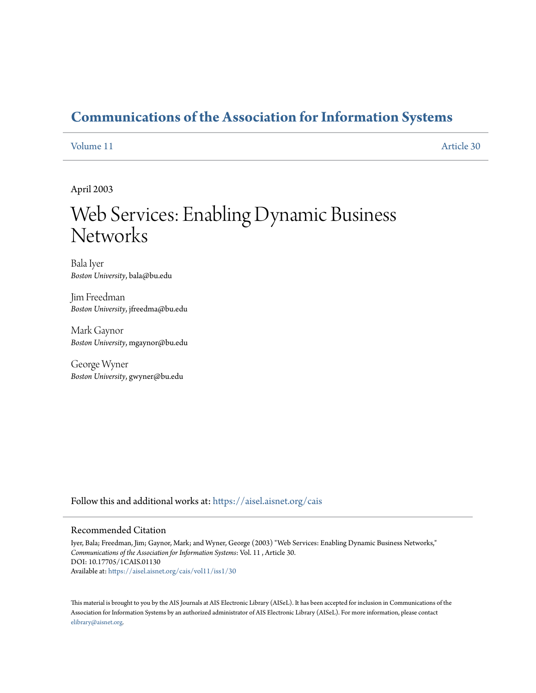# **[Communications of the Association for Information Systems](https://aisel.aisnet.org/cais?utm_source=aisel.aisnet.org%2Fcais%2Fvol11%2Fiss1%2F30&utm_medium=PDF&utm_campaign=PDFCoverPages)**

#### [Volume 11](https://aisel.aisnet.org/cais/vol11?utm_source=aisel.aisnet.org%2Fcais%2Fvol11%2Fiss1%2F30&utm_medium=PDF&utm_campaign=PDFCoverPages) [Article 30](https://aisel.aisnet.org/cais/vol11/iss1/30?utm_source=aisel.aisnet.org%2Fcais%2Fvol11%2Fiss1%2F30&utm_medium=PDF&utm_campaign=PDFCoverPages)

April 2003

# Web Services: Enabling Dynamic Business **Networks**

Bala Iyer *Boston University*, bala@bu.edu

Jim Freedman *Boston University*, jfreedma@bu.edu

Mark Gaynor *Boston University*, mgaynor@bu.edu

George Wyner *Boston University*, gwyner@bu.edu

Follow this and additional works at: [https://aisel.aisnet.org/cais](https://aisel.aisnet.org/cais?utm_source=aisel.aisnet.org%2Fcais%2Fvol11%2Fiss1%2F30&utm_medium=PDF&utm_campaign=PDFCoverPages)

#### Recommended Citation

Iyer, Bala; Freedman, Jim; Gaynor, Mark; and Wyner, George (2003) "Web Services: Enabling Dynamic Business Networks," *Communications of the Association for Information Systems*: Vol. 11 , Article 30. DOI: 10.17705/1CAIS.01130 Available at: [https://aisel.aisnet.org/cais/vol11/iss1/30](https://aisel.aisnet.org/cais/vol11/iss1/30?utm_source=aisel.aisnet.org%2Fcais%2Fvol11%2Fiss1%2F30&utm_medium=PDF&utm_campaign=PDFCoverPages)

This material is brought to you by the AIS Journals at AIS Electronic Library (AISeL). It has been accepted for inclusion in Communications of the Association for Information Systems by an authorized administrator of AIS Electronic Library (AISeL). For more information, please contact [elibrary@aisnet.org.](mailto:elibrary@aisnet.org%3E)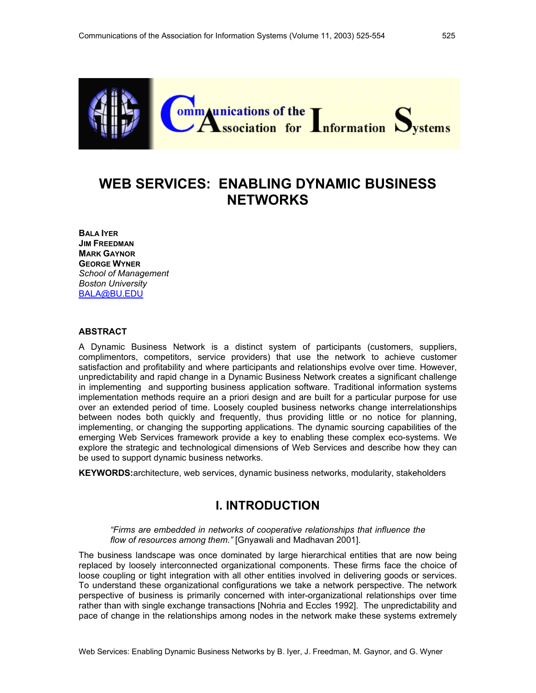

# **WEB SERVICES: ENABLING DYNAMIC BUSINESS NETWORKS**

**BALA IYER JIM FREEDMAN MARK GAYNOR GEORGE WYNER** *School of Management Boston University*  BALA@BU.EDU

#### **ABSTRACT**

A Dynamic Business Network is a distinct system of participants (customers, suppliers, complimentors, competitors, service providers) that use the network to achieve customer satisfaction and profitability and where participants and relationships evolve over time. However, unpredictability and rapid change in a Dynamic Business Network creates a significant challenge in implementing and supporting business application software. Traditional information systems implementation methods require an a priori design and are built for a particular purpose for use over an extended period of time. Loosely coupled business networks change interrelationships between nodes both quickly and frequently, thus providing little or no notice for planning, implementing, or changing the supporting applications. The dynamic sourcing capabilities of the emerging Web Services framework provide a key to enabling these complex eco-systems. We explore the strategic and technological dimensions of Web Services and describe how they can be used to support dynamic business networks.

**KEYWORDS:**architecture, web services, dynamic business networks, modularity, stakeholders

## **I. INTRODUCTION**

*"Firms are embedded in networks of cooperative relationships that influence the flow of resources among them."* [Gnyawali and Madhavan 2001].

The business landscape was once dominated by large hierarchical entities that are now being replaced by loosely interconnected organizational components. These firms face the choice of loose coupling or tight integration with all other entities involved in delivering goods or services. To understand these organizational configurations we take a network perspective. The network perspective of business is primarily concerned with inter-organizational relationships over time rather than with single exchange transactions [Nohria and Eccles 1992]. The unpredictability and pace of change in the relationships among nodes in the network make these systems extremely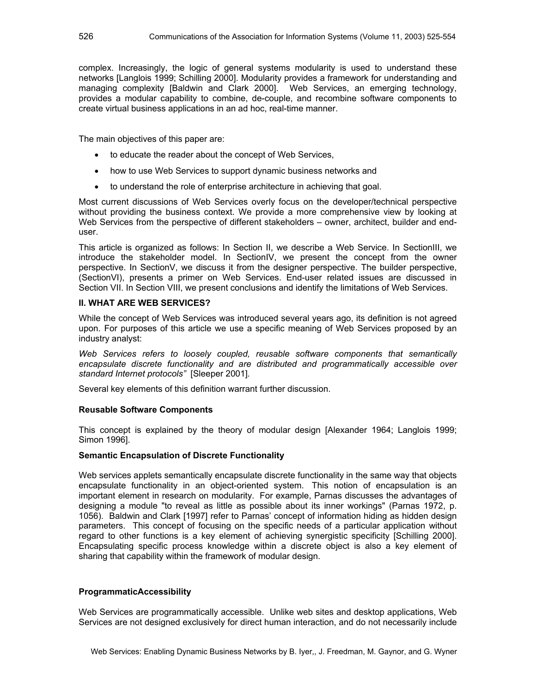complex. Increasingly, the logic of general systems modularity is used to understand these networks [Langlois 1999; Schilling 2000]. Modularity provides a framework for understanding and managing complexity [Baldwin and Clark 2000]. Web Services, an emerging technology, provides a modular capability to combine, de-couple, and recombine software components to create virtual business applications in an ad hoc, real-time manner.

The main objectives of this paper are:

- to educate the reader about the concept of Web Services,
- how to use Web Services to support dynamic business networks and
- to understand the role of enterprise architecture in achieving that goal.

Most current discussions of Web Services overly focus on the developer/technical perspective without providing the business context. We provide a more comprehensive view by looking at Web Services from the perspective of different stakeholders – owner, architect, builder and enduser.

This article is organized as follows: In Section II, we describe a Web Service. In SectionIII, we introduce the stakeholder model. In SectionIV, we present the concept from the owner perspective. In SectionV, we discuss it from the designer perspective. The builder perspective, (SectionVI), presents a primer on Web Services. End-user related issues are discussed in Section VII. In Section VIII, we present conclusions and identify the limitations of Web Services.

#### **II. WHAT ARE WEB SERVICES?**

While the concept of Web Services was introduced several years ago, its definition is not agreed upon. For purposes of this article we use a specific meaning of Web Services proposed by an industry analyst:

*Web Services refers to loosely coupled, reusable software components that semantically encapsulate discrete functionality and are distributed and programmatically accessible over standard Internet protocols"* [Sleeper 2001]*.* 

Several key elements of this definition warrant further discussion.

#### **Reusable Software Components**

This concept is explained by the theory of modular design [Alexander 1964; Langlois 1999; Simon 1996].

#### **Semantic Encapsulation of Discrete Functionality**

Web services applets semantically encapsulate discrete functionality in the same way that objects encapsulate functionality in an object-oriented system. This notion of encapsulation is an important element in research on modularity. For example, Parnas discusses the advantages of designing a module "to reveal as little as possible about its inner workings" (Parnas 1972, p. 1056). Baldwin and Clark [1997] refer to Parnas' concept of information hiding as hidden design parameters. This concept of focusing on the specific needs of a particular application without regard to other functions is a key element of achieving synergistic specificity [Schilling 2000]. Encapsulating specific process knowledge within a discrete object is also a key element of sharing that capability within the framework of modular design.

#### **ProgrammaticAccessibility**

Web Services are programmatically accessible. Unlike web sites and desktop applications, Web Services are not designed exclusively for direct human interaction, and do not necessarily include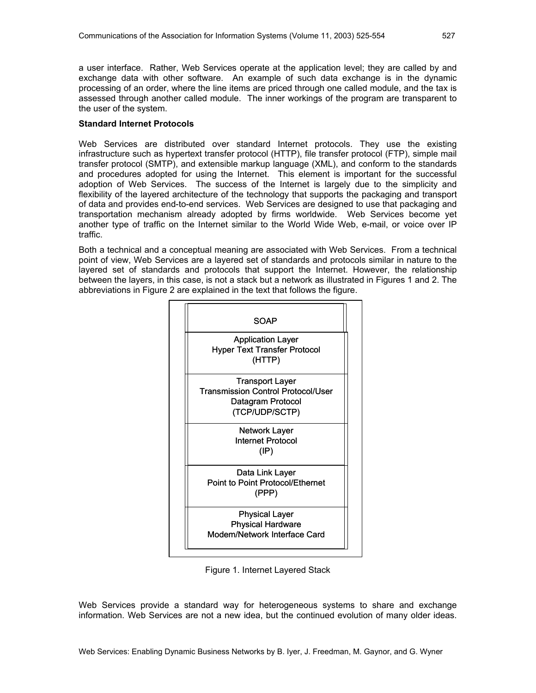a user interface. Rather, Web Services operate at the application level; they are called by and exchange data with other software. An example of such data exchange is in the dynamic processing of an order, where the line items are priced through one called module, and the tax is assessed through another called module. The inner workings of the program are transparent to the user of the system.

#### **Standard Internet Protocols**

Web Services are distributed over standard Internet protocols. They use the existing infrastructure such as hypertext transfer protocol (HTTP), file transfer protocol (FTP), simple mail transfer protocol (SMTP), and extensible markup language (XML), and conform to the standards and procedures adopted for using the Internet. This element is important for the successful adoption of Web Services. The success of the Internet is largely due to the simplicity and flexibility of the layered architecture of the technology that supports the packaging and transport of data and provides end-to-end services. Web Services are designed to use that packaging and transportation mechanism already adopted by firms worldwide. Web Services become yet another type of traffic on the Internet similar to the World Wide Web, e-mail, or voice over IP traffic.

Both a technical and a conceptual meaning are associated with Web Services. From a technical point of view, Web Services are a layered set of standards and protocols similar in nature to the layered set of standards and protocols that support the Internet. However, the relationship between the layers, in this case, is not a stack but a network as illustrated in Figures 1 and 2. The abbreviations in Figure 2 are explained in the text that follows the figure.



Figure 1. Internet Layered Stack

Web Services provide a standard way for heterogeneous systems to share and exchange information. Web Services are not a new idea, but the continued evolution of many older ideas.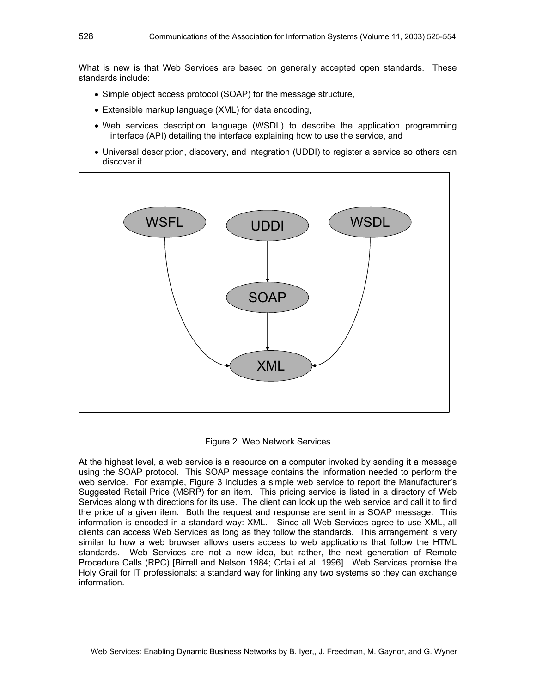What is new is that Web Services are based on generally accepted open standards. These standards include:

- Simple object access protocol (SOAP) for the message structure,
- Extensible markup language (XML) for data encoding,
- Web services description language (WSDL) to describe the application programming interface (API) detailing the interface explaining how to use the service, and
- Universal description, discovery, and integration (UDDI) to register a service so others can discover it.



#### Figure 2. Web Network Services

At the highest level, a web service is a resource on a computer invoked by sending it a message using the SOAP protocol. This SOAP message contains the information needed to perform the web service. For example, Figure 3 includes a simple web service to report the Manufacturer's Suggested Retail Price (MSRP) for an item. This pricing service is listed in a directory of Web Services along with directions for its use. The client can look up the web service and call it to find the price of a given item. Both the request and response are sent in a SOAP message. This information is encoded in a standard way: XML. Since all Web Services agree to use XML, all clients can access Web Services as long as they follow the standards. This arrangement is very similar to how a web browser allows users access to web applications that follow the HTML standards. Web Services are not a new idea, but rather, the next generation of Remote Procedure Calls (RPC) [Birrell and Nelson 1984; Orfali et al. 1996]. Web Services promise the Holy Grail for IT professionals: a standard way for linking any two systems so they can exchange information.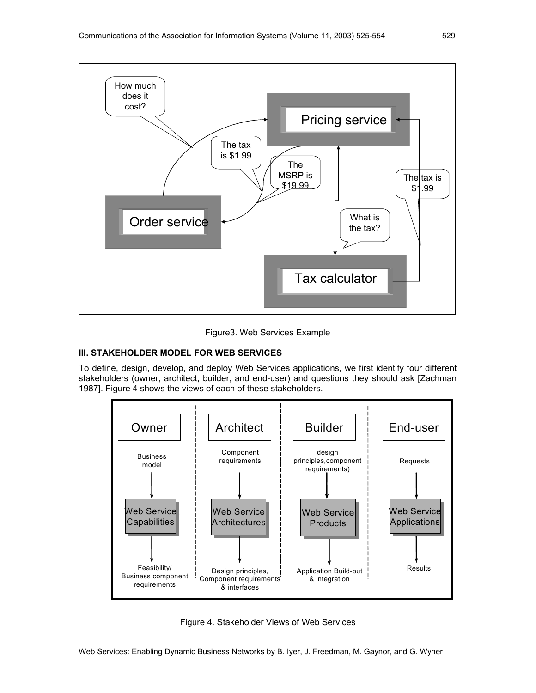



#### **III. STAKEHOLDER MODEL FOR WEB SERVICES**

To define, design, develop, and deploy Web Services applications, we first identify four different stakeholders (owner, architect, builder, and end-user) and questions they should ask [Zachman 1987]. Figure 4 shows the views of each of these stakeholders.



Figure 4. Stakeholder Views of Web Services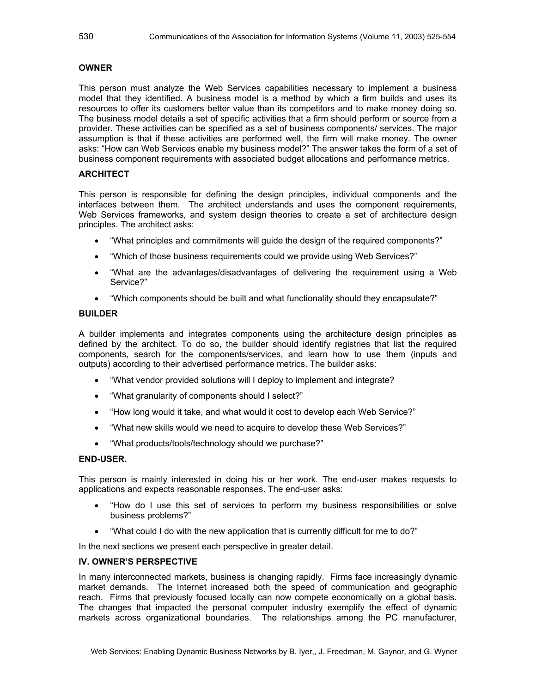#### **OWNER**

This person must analyze the Web Services capabilities necessary to implement a business model that they identified. A business model is a method by which a firm builds and uses its resources to offer its customers better value than its competitors and to make money doing so. The business model details a set of specific activities that a firm should perform or source from a provider. These activities can be specified as a set of business components/ services. The major assumption is that if these activities are performed well, the firm will make money. The owner asks: "How can Web Services enable my business model?" The answer takes the form of a set of business component requirements with associated budget allocations and performance metrics.

#### **ARCHITECT**

This person is responsible for defining the design principles, individual components and the interfaces between them. The architect understands and uses the component requirements, Web Services frameworks, and system design theories to create a set of architecture design principles. The architect asks:

- "What principles and commitments will guide the design of the required components?"
- "Which of those business requirements could we provide using Web Services?"
- "What are the advantages/disadvantages of delivering the requirement using a Web Service?"
- "Which components should be built and what functionality should they encapsulate?"

#### **BUILDER**

A builder implements and integrates components using the architecture design principles as defined by the architect. To do so, the builder should identify registries that list the required components, search for the components/services, and learn how to use them (inputs and outputs) according to their advertised performance metrics. The builder asks:

- "What vendor provided solutions will I deploy to implement and integrate?
- "What granularity of components should I select?"
- "How long would it take, and what would it cost to develop each Web Service?"
- "What new skills would we need to acquire to develop these Web Services?"
- "What products/tools/technology should we purchase?"

#### **END-USER.**

This person is mainly interested in doing his or her work. The end-user makes requests to applications and expects reasonable responses. The end-user asks:

- "How do I use this set of services to perform my business responsibilities or solve business problems?"
- "What could I do with the new application that is currently difficult for me to do?"

In the next sections we present each perspective in greater detail.

#### **IV. OWNER'S PERSPECTIVE**

In many interconnected markets, business is changing rapidly. Firms face increasingly dynamic market demands. The Internet increased both the speed of communication and geographic reach. Firms that previously focused locally can now compete economically on a global basis. The changes that impacted the personal computer industry exemplify the effect of dynamic markets across organizational boundaries. The relationships among the PC manufacturer,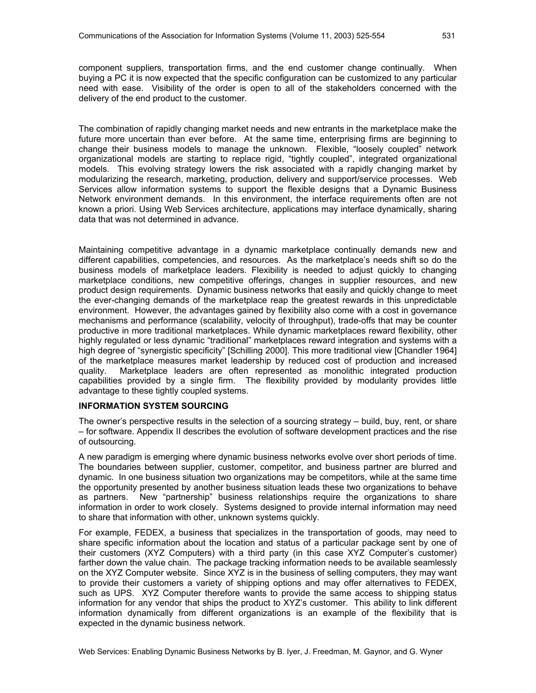component suppliers, transportation firms, and the end customer change continually. When buying a PC it is now expected that the specific configuration can be customized to any particular need with ease. Visibility of the order is open to all of the stakeholders concerned with the delivery of the end product to the customer.

The combination of rapidly changing market needs and new entrants in the marketplace make the future more uncertain than ever before. At the same time, enterprising firms are beginning to change their business models to manage the unknown. Flexible, "loosely coupled" network organizational models are starting to replace rigid, "tightly coupled", integrated organizational models. This evolving strategy lowers the risk associated with a rapidly changing market by modularizing the research, marketing, production, delivery and support/service processes. Web Services allow information systems to support the flexible designs that a Dynamic Business Network environment demands. In this environment, the interface requirements often are not known a priori. Using Web Services architecture, applications may interface dynamically, sharing data that was not determined in advance.

Maintaining competitive advantage in a dynamic marketplace continually demands new and different capabilities, competencies, and resources. As the marketplace's needs shift so do the business models of marketplace leaders. Flexibility is needed to adjust quickly to changing marketplace conditions, new competitive offerings, changes in supplier resources, and new product design requirements. Dynamic business networks that easily and quickly change to meet the ever-changing demands of the marketplace reap the greatest rewards in this unpredictable environment. However, the advantages gained by flexibility also come with a cost in governance mechanisms and performance (scalability, velocity of throughput), trade-offs that may be counter productive in more traditional marketplaces. While dynamic marketplaces reward flexibility, other highly regulated or less dynamic "traditional" marketplaces reward integration and systems with a high degree of "synergistic specificity" [Schilling 2000]. This more traditional view [Chandler 1964] of the marketplace measures market leadership by reduced cost of production and increased quality. Marketplace leaders are often represented as monolithic integrated production capabilities provided by a single firm. The flexibility provided by modularity provides little advantage to these tightly coupled systems.

#### **INFORMATION SYSTEM SOURCING**

The owner's perspective results in the selection of a sourcing strategy – build, buy, rent, or share – for software. Appendix II describes the evolution of software development practices and the rise of outsourcing.

A new paradigm is emerging where dynamic business networks evolve over short periods of time. The boundaries between supplier, customer, competitor, and business partner are blurred and dynamic. In one business situation two organizations may be competitors, while at the same time the opportunity presented by another business situation leads these two organizations to behave as partners. New "partnership" business relationships require the organizations to share information in order to work closely. Systems designed to provide internal information may need to share that information with other, unknown systems quickly.

For example, FEDEX, a business that specializes in the transportation of goods, may need to share specific information about the location and status of a particular package sent by one of their customers (XYZ Computers) with a third party (in this case XYZ Computer's customer) farther down the value chain. The package tracking information needs to be available seamlessly on the XYZ Computer website. Since XYZ is in the business of selling computers, they may want to provide their customers a variety of shipping options and may offer alternatives to FEDEX, such as UPS. XYZ Computer therefore wants to provide the same access to shipping status information for any vendor that ships the product to XYZ's customer. This ability to link different information dynamically from different organizations is an example of the flexibility that is expected in the dynamic business network.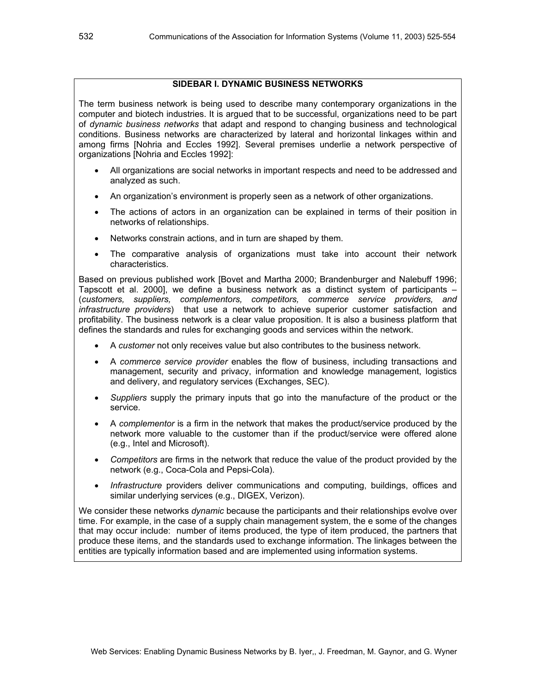#### **SIDEBAR I. DYNAMIC BUSINESS NETWORKS**

The term business network is being used to describe many contemporary organizations in the computer and biotech industries. It is argued that to be successful, organizations need to be part of *dynamic business networks* that adapt and respond to changing business and technological conditions. Business networks are characterized by lateral and horizontal linkages within and among firms [Nohria and Eccles 1992]. Several premises underlie a network perspective of organizations [Nohria and Eccles 1992]:

- All organizations are social networks in important respects and need to be addressed and analyzed as such.
- An organization's environment is properly seen as a network of other organizations.
- The actions of actors in an organization can be explained in terms of their position in networks of relationships.
- Networks constrain actions, and in turn are shaped by them.
- The comparative analysis of organizations must take into account their network characteristics.

Based on previous published work [Bovet and Martha 2000; Brandenburger and Nalebuff 1996; Tapscott et al. 2000], we define a business network as a distinct system of participants – (*customers, suppliers, complementors, competitors, commerce service providers, and infrastructure providers*) that use a network to achieve superior customer satisfaction and profitability. The business network is a clear value proposition. It is also a business platform that defines the standards and rules for exchanging goods and services within the network.

- A *customer* not only receives value but also contributes to the business network.
- A *commerce service provider* enables the flow of business, including transactions and management, security and privacy, information and knowledge management, logistics and delivery, and regulatory services (Exchanges, SEC).
- *Suppliers* supply the primary inputs that go into the manufacture of the product or the service.
- A *complementor* is a firm in the network that makes the product/service produced by the network more valuable to the customer than if the product/service were offered alone (e.g., Intel and Microsoft).
- *Competitors* are firms in the network that reduce the value of the product provided by the network (e.g., Coca-Cola and Pepsi-Cola).
- *Infrastructure* providers deliver communications and computing, buildings, offices and similar underlying services (e.g., DIGEX, Verizon).

We consider these networks *dynamic* because the participants and their relationships evolve over time. For example, in the case of a supply chain management system, the e some of the changes that may occur include: number of items produced, the type of item produced, the partners that produce these items, and the standards used to exchange information. The linkages between the entities are typically information based and are implemented using information systems.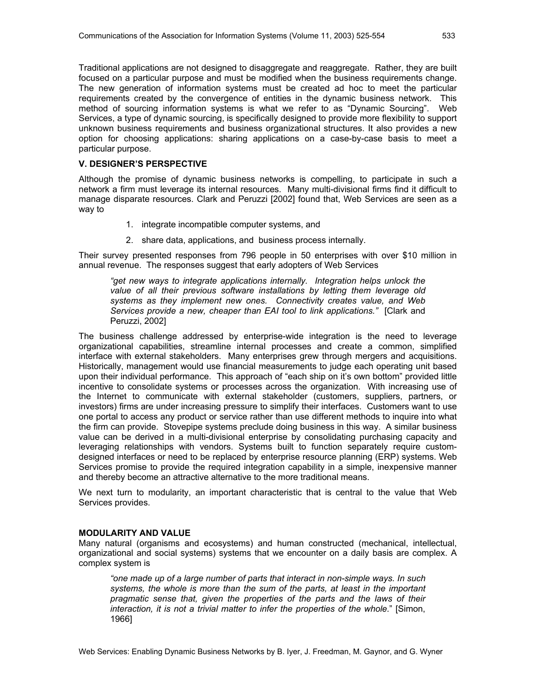Traditional applications are not designed to disaggregate and reaggregate. Rather, they are built focused on a particular purpose and must be modified when the business requirements change. The new generation of information systems must be created ad hoc to meet the particular requirements created by the convergence of entities in the dynamic business network. This method of sourcing information systems is what we refer to as "Dynamic Sourcing". Web Services, a type of dynamic sourcing, is specifically designed to provide more flexibility to support unknown business requirements and business organizational structures. It also provides a new option for choosing applications: sharing applications on a case-by-case basis to meet a particular purpose.

#### **V. DESIGNER'S PERSPECTIVE**

Although the promise of dynamic business networks is compelling, to participate in such a network a firm must leverage its internal resources. Many multi-divisional firms find it difficult to manage disparate resources. Clark and Peruzzi [2002] found that, Web Services are seen as a way to

- 1. integrate incompatible computer systems, and
- 2. share data, applications, and business process internally.

Their survey presented responses from 796 people in 50 enterprises with over \$10 million in annual revenue. The responses suggest that early adopters of Web Services

*"get new ways to integrate applications internally. Integration helps unlock the value of all their previous software installations by letting them leverage old systems as they implement new ones. Connectivity creates value, and Web Services provide a new, cheaper than EAI tool to link applications."* [Clark and Peruzzi, 2002]

The business challenge addressed by enterprise-wide integration is the need to leverage organizational capabilities, streamline internal processes and create a common, simplified interface with external stakeholders. Many enterprises grew through mergers and acquisitions. Historically, management would use financial measurements to judge each operating unit based upon their individual performance. This approach of "each ship on it's own bottom" provided little incentive to consolidate systems or processes across the organization. With increasing use of the Internet to communicate with external stakeholder (customers, suppliers, partners, or investors) firms are under increasing pressure to simplify their interfaces. Customers want to use one portal to access any product or service rather than use different methods to inquire into what the firm can provide. Stovepipe systems preclude doing business in this way. A similar business value can be derived in a multi-divisional enterprise by consolidating purchasing capacity and leveraging relationships with vendors. Systems built to function separately require customdesigned interfaces or need to be replaced by enterprise resource planning (ERP) systems. Web Services promise to provide the required integration capability in a simple, inexpensive manner and thereby become an attractive alternative to the more traditional means.

We next turn to modularity, an important characteristic that is central to the value that Web Services provides.

#### **MODULARITY AND VALUE**

Many natural (organisms and ecosystems) and human constructed (mechanical, intellectual, organizational and social systems) systems that we encounter on a daily basis are complex. A complex system is

*"one made up of a large number of parts that interact in non-simple ways. In such systems, the whole is more than the sum of the parts, at least in the important pragmatic sense that, given the properties of the parts and the laws of their interaction, it is not a trivial matter to infer the properties of the whole.*" [Simon, 1966]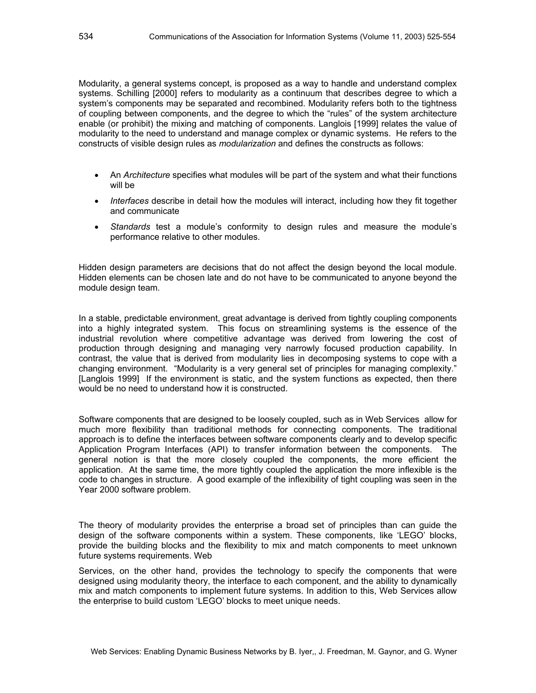Modularity, a general systems concept, is proposed as a way to handle and understand complex systems. Schilling [2000] refers to modularity as a continuum that describes degree to which a system's components may be separated and recombined. Modularity refers both to the tightness of coupling between components, and the degree to which the "rules" of the system architecture enable (or prohibit) the mixing and matching of components. Langlois [1999] relates the value of modularity to the need to understand and manage complex or dynamic systems. He refers to the constructs of visible design rules as *modularization* and defines the constructs as follows:

- An *Architecture* specifies what modules will be part of the system and what their functions will be
- *Interfaces* describe in detail how the modules will interact, including how they fit together and communicate
- *Standards* test a module's conformity to design rules and measure the module's performance relative to other modules.

Hidden design parameters are decisions that do not affect the design beyond the local module. Hidden elements can be chosen late and do not have to be communicated to anyone beyond the module design team.

In a stable, predictable environment, great advantage is derived from tightly coupling components into a highly integrated system. This focus on streamlining systems is the essence of the industrial revolution where competitive advantage was derived from lowering the cost of production through designing and managing very narrowly focused production capability. In contrast, the value that is derived from modularity lies in decomposing systems to cope with a changing environment. "Modularity is a very general set of principles for managing complexity." [Langlois 1999] If the environment is static, and the system functions as expected, then there would be no need to understand how it is constructed.

Software components that are designed to be loosely coupled, such as in Web Services allow for much more flexibility than traditional methods for connecting components. The traditional approach is to define the interfaces between software components clearly and to develop specific Application Program Interfaces (API) to transfer information between the components. The general notion is that the more closely coupled the components, the more efficient the application. At the same time, the more tightly coupled the application the more inflexible is the code to changes in structure. A good example of the inflexibility of tight coupling was seen in the Year 2000 software problem.

The theory of modularity provides the enterprise a broad set of principles than can guide the design of the software components within a system. These components, like 'LEGO' blocks, provide the building blocks and the flexibility to mix and match components to meet unknown future systems requirements. Web

Services, on the other hand, provides the technology to specify the components that were designed using modularity theory, the interface to each component, and the ability to dynamically mix and match components to implement future systems. In addition to this, Web Services allow the enterprise to build custom 'LEGO' blocks to meet unique needs.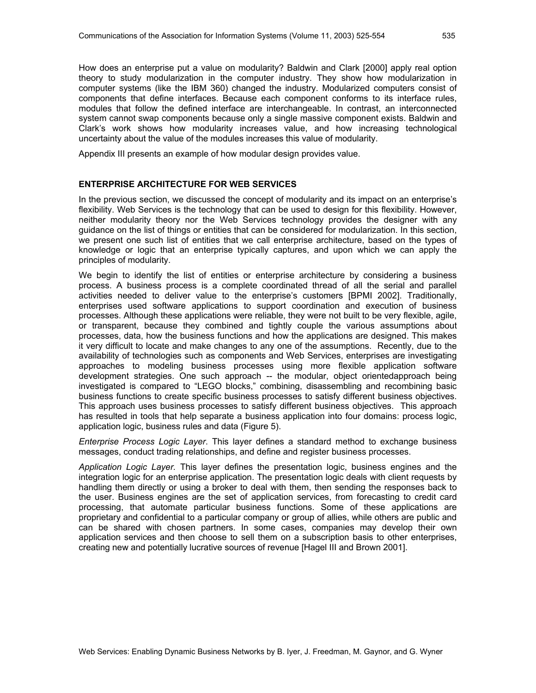How does an enterprise put a value on modularity? Baldwin and Clark [2000] apply real option theory to study modularization in the computer industry. They show how modularization in computer systems (like the IBM 360) changed the industry. Modularized computers consist of components that define interfaces. Because each component conforms to its interface rules, modules that follow the defined interface are interchangeable. In contrast, an interconnected system cannot swap components because only a single massive component exists. Baldwin and Clark's work shows how modularity increases value, and how increasing technological uncertainty about the value of the modules increases this value of modularity.

Appendix III presents an example of how modular design provides value.

#### **ENTERPRISE ARCHITECTURE FOR WEB SERVICES**

In the previous section, we discussed the concept of modularity and its impact on an enterprise's flexibility. Web Services is the technology that can be used to design for this flexibility. However, neither modularity theory nor the Web Services technology provides the designer with any guidance on the list of things or entities that can be considered for modularization. In this section, we present one such list of entities that we call enterprise architecture, based on the types of knowledge or logic that an enterprise typically captures, and upon which we can apply the principles of modularity.

We begin to identify the list of entities or enterprise architecture by considering a business process. A business process is a complete coordinated thread of all the serial and parallel activities needed to deliver value to the enterprise's customers [BPMI 2002]. Traditionally, enterprises used software applications to support coordination and execution of business processes. Although these applications were reliable, they were not built to be very flexible, agile, or transparent, because they combined and tightly couple the various assumptions about processes, data, how the business functions and how the applications are designed. This makes it very difficult to locate and make changes to any one of the assumptions. Recently, due to the availability of technologies such as components and Web Services, enterprises are investigating approaches to modeling business processes using more flexible application software development strategies. One such approach -- the modular, object orientedapproach being investigated is compared to "LEGO blocks," combining, disassembling and recombining basic business functions to create specific business processes to satisfy different business objectives. This approach uses business processes to satisfy different business objectives. This approach has resulted in tools that help separate a business application into four domains: process logic, application logic, business rules and data (Figure 5).

*Enterprise Process Logic Layer*. This layer defines a standard method to exchange business messages, conduct trading relationships, and define and register business processes.

*Application Logic Layer.* This layer defines the presentation logic, business engines and the integration logic for an enterprise application. The presentation logic deals with client requests by handling them directly or using a broker to deal with them, then sending the responses back to the user. Business engines are the set of application services, from forecasting to credit card processing, that automate particular business functions. Some of these applications are proprietary and confidential to a particular company or group of allies, while others are public and can be shared with chosen partners. In some cases, companies may develop their own application services and then choose to sell them on a subscription basis to other enterprises, creating new and potentially lucrative sources of revenue [Hagel III and Brown 2001].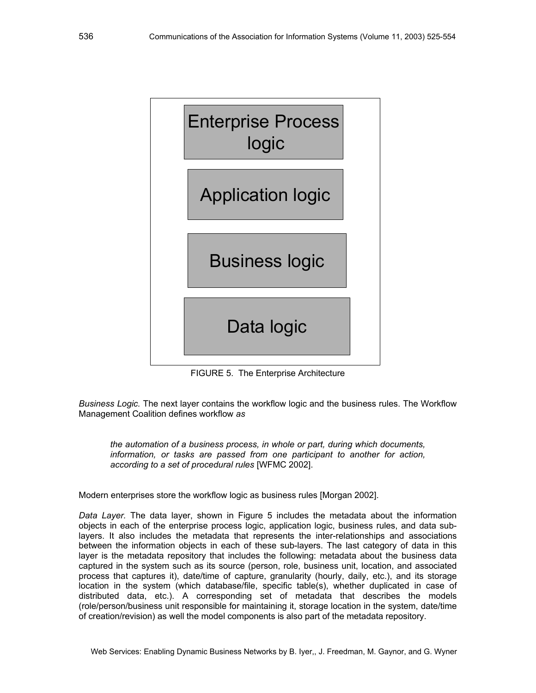

FIGURE 5. The Enterprise Architecture

*Business Logic.* The next layer contains the workflow logic and the business rules. The Workflow Management Coalition defines workflow *as* 

*the automation of a business process, in whole or part, during which documents, information, or tasks are passed from one participant to another for action, according to a set of procedural rules* [WFMC 2002].

Modern enterprises store the workflow logic as business rules [Morgan 2002].

*Data Layer.* The data layer, shown in Figure 5 includes the metadata about the information objects in each of the enterprise process logic, application logic, business rules, and data sublayers. It also includes the metadata that represents the inter-relationships and associations between the information objects in each of these sub-layers. The last category of data in this layer is the metadata repository that includes the following: metadata about the business data captured in the system such as its source (person, role, business unit, location, and associated process that captures it), date/time of capture, granularity (hourly, daily, etc.), and its storage location in the system (which database/file, specific table(s), whether duplicated in case of distributed data, etc.). A corresponding set of metadata that describes the models (role/person/business unit responsible for maintaining it, storage location in the system, date/time of creation/revision) as well the model components is also part of the metadata repository.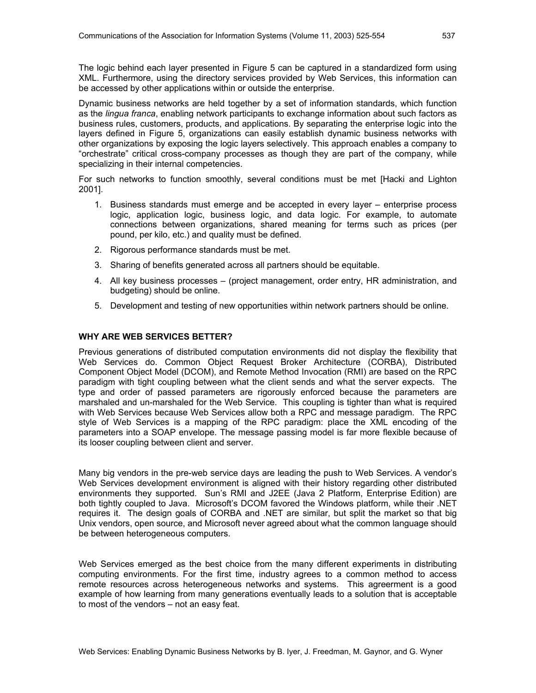The logic behind each layer presented in Figure 5 can be captured in a standardized form using XML. Furthermore, using the directory services provided by Web Services, this information can be accessed by other applications within or outside the enterprise.

Dynamic business networks are held together by a set of information standards, which function as the *lingua franca*, enabling network participants to exchange information about such factors as business rules, customers, products, and applications. By separating the enterprise logic into the layers defined in Figure 5, organizations can easily establish dynamic business networks with other organizations by exposing the logic layers selectively. This approach enables a company to "orchestrate" critical cross-company processes as though they are part of the company, while specializing in their internal competencies.

For such networks to function smoothly, several conditions must be met [Hacki and Lighton 2001].

- 1. Business standards must emerge and be accepted in every layer enterprise process logic, application logic, business logic, and data logic. For example, to automate connections between organizations, shared meaning for terms such as prices (per pound, per kilo, etc.) and quality must be defined.
- 2. Rigorous performance standards must be met.
- 3. Sharing of benefits generated across all partners should be equitable.
- 4. All key business processes (project management, order entry, HR administration, and budgeting) should be online.
- 5. Development and testing of new opportunities within network partners should be online.

#### **WHY ARE WEB SERVICES BETTER?**

Previous generations of distributed computation environments did not display the flexibility that Web Services do. Common Object Request Broker Architecture (CORBA), Distributed Component Object Model (DCOM), and Remote Method Invocation (RMI) are based on the RPC paradigm with tight coupling between what the client sends and what the server expects. The type and order of passed parameters are rigorously enforced because the parameters are marshaled and un-marshaled for the Web Service. This coupling is tighter than what is required with Web Services because Web Services allow both a RPC and message paradigm. The RPC style of Web Services is a mapping of the RPC paradigm: place the XML encoding of the parameters into a SOAP envelope. The message passing model is far more flexible because of its looser coupling between client and server.

Many big vendors in the pre-web service days are leading the push to Web Services. A vendor's Web Services development environment is aligned with their history regarding other distributed environments they supported. Sun's RMI and J2EE (Java 2 Platform, Enterprise Edition) are both tightly coupled to Java. Microsoft's DCOM favored the Windows platform, while their .NET requires it. The design goals of CORBA and .NET are similar, but split the market so that big Unix vendors, open source, and Microsoft never agreed about what the common language should be between heterogeneous computers.

Web Services emerged as the best choice from the many different experiments in distributing computing environments. For the first time, industry agrees to a common method to access remote resources across heterogeneous networks and systems. This agreerment is a good example of how learning from many generations eventually leads to a solution that is acceptable to most of the vendors – not an easy feat.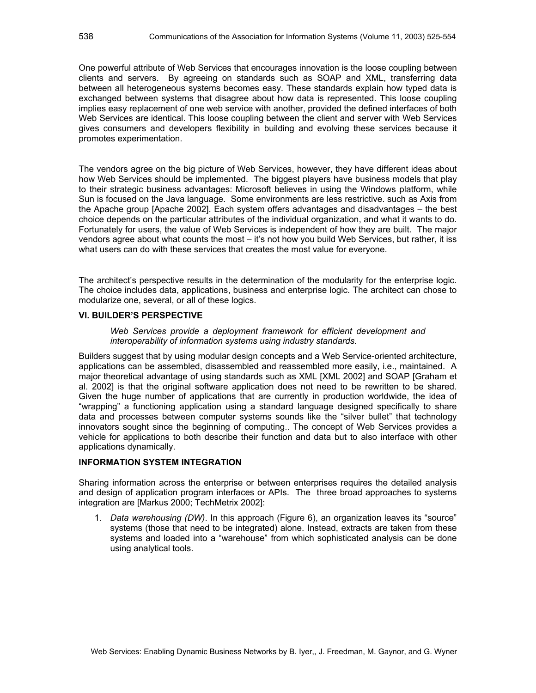One powerful attribute of Web Services that encourages innovation is the loose coupling between clients and servers. By agreeing on standards such as SOAP and XML, transferring data between all heterogeneous systems becomes easy. These standards explain how typed data is exchanged between systems that disagree about how data is represented. This loose coupling implies easy replacement of one web service with another, provided the defined interfaces of both Web Services are identical. This loose coupling between the client and server with Web Services gives consumers and developers flexibility in building and evolving these services because it promotes experimentation.

The vendors agree on the big picture of Web Services, however, they have different ideas about how Web Services should be implemented. The biggest players have business models that play to their strategic business advantages: Microsoft believes in using the Windows platform, while Sun is focused on the Java language. Some environments are less restrictive. such as Axis from the Apache group [Apache 2002]. Each system offers advantages and disadvantages – the best choice depends on the particular attributes of the individual organization, and what it wants to do. Fortunately for users, the value of Web Services is independent of how they are built. The major vendors agree about what counts the most – it's not how you build Web Services, but rather, it iss what users can do with these services that creates the most value for everyone.

The architect's perspective results in the determination of the modularity for the enterprise logic. The choice includes data, applications, business and enterprise logic. The architect can chose to modularize one, several, or all of these logics.

#### **VI. BUILDER'S PERSPECTIVE**

*Web Services provide a deployment framework for efficient development and interoperability of information systems using industry standards.* 

Builders suggest that by using modular design concepts and a Web Service-oriented architecture, applications can be assembled, disassembled and reassembled more easily, i.e., maintained. A major theoretical advantage of using standards such as XML [XML 2002] and SOAP [Graham et al. 2002] is that the original software application does not need to be rewritten to be shared. Given the huge number of applications that are currently in production worldwide, the idea of "wrapping" a functioning application using a standard language designed specifically to share data and processes between computer systems sounds like the "silver bullet" that technology innovators sought since the beginning of computing.. The concept of Web Services provides a vehicle for applications to both describe their function and data but to also interface with other applications dynamically.

#### **INFORMATION SYSTEM INTEGRATION**

Sharing information across the enterprise or between enterprises requires the detailed analysis and design of application program interfaces or APIs. The three broad approaches to systems integration are [Markus 2000; TechMetrix 2002]:

1. *Data warehousing (DW)*. In this approach (Figure 6), an organization leaves its "source" systems (those that need to be integrated) alone. Instead, extracts are taken from these systems and loaded into a "warehouse" from which sophisticated analysis can be done using analytical tools.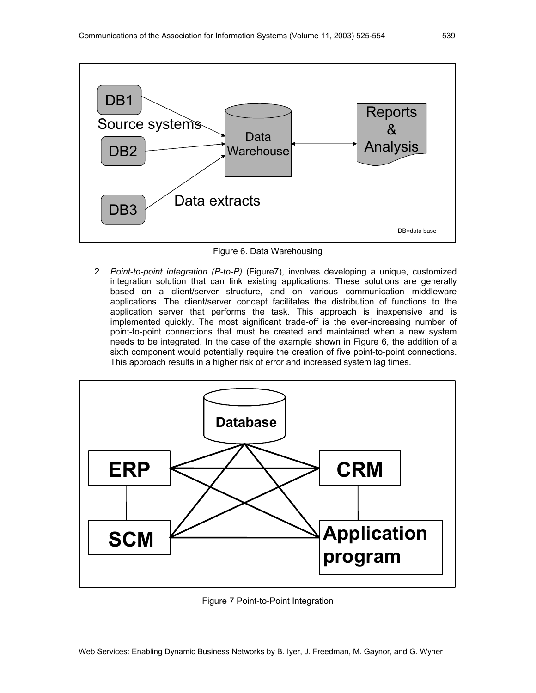

Figure 6. Data Warehousing

2. *Point-to-point integration (P-to-P)* (Figure7), involves developing a unique, customized integration solution that can link existing applications. These solutions are generally based on a client/server structure, and on various communication middleware applications. The client/server concept facilitates the distribution of functions to the application server that performs the task. This approach is inexpensive and is implemented quickly. The most significant trade-off is the ever-increasing number of point-to-point connections that must be created and maintained when a new system needs to be integrated. In the case of the example shown in Figure 6, the addition of a sixth component would potentially require the creation of five point-to-point connections. This approach results in a higher risk of error and increased system lag times.



Figure 7 Point-to-Point Integration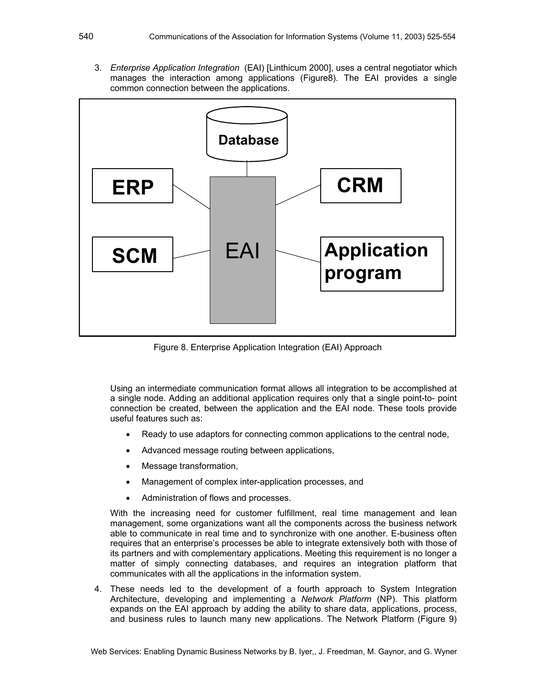3. *Enterprise Application Integration* (EAI) [Linthicum 2000], uses a central negotiator which manages the interaction among applications (Figure8). The EAI provides a single common connection between the applications.



Figure 8. Enterprise Application Integration (EAI) Approach

Using an intermediate communication format allows all integration to be accomplished at a single node. Adding an additional application requires only that a single point-to- point connection be created, between the application and the EAI node. These tools provide useful features such as:

- Ready to use adaptors for connecting common applications to the central node,
- Advanced message routing between applications,
- Message transformation,
- Management of complex inter-application processes, and
- Administration of flows and processes.

With the increasing need for customer fulfillment, real time management and lean management, some organizations want all the components across the business network able to communicate in real time and to synchronize with one another. E-business often requires that an enterprise's processes be able to integrate extensively both with those of its partners and with complementary applications. Meeting this requirement is no longer a matter of simply connecting databases, and requires an integration platform that communicates with all the applications in the information system.

4. These needs led to the development of a fourth approach to System Integration Architecture, developing and implementing a *Network Platform* (NP). This platform expands on the EAI approach by adding the ability to share data, applications, process, and business rules to launch many new applications. The Network Platform (Figure 9)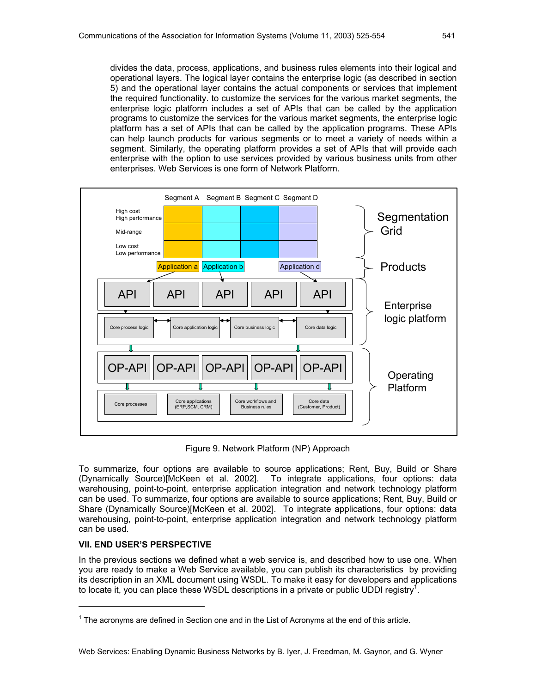divides the data, process, applications, and business rules elements into their logical and operational layers. The logical layer contains the enterprise logic (as described in section 5) and the operational layer contains the actual components or services that implement the required functionality. to customize the services for the various market segments, the enterprise logic platform includes a set of APIs that can be called by the application programs to customize the services for the various market segments, the enterprise logic platform has a set of APIs that can be called by the application programs. These APIs can help launch products for various segments or to meet a variety of needs within a segment. Similarly, the operating platform provides a set of APIs that will provide each enterprise with the option to use services provided by various business units from other enterprises. Web Services is one form of Network Platform.



Figure 9. Network Platform (NP) Approach

To summarize, four options are available to source applications; Rent, Buy, Build or Share (Dynamically Source)[McKeen et al. 2002]. To integrate applications, four options: data warehousing, point-to-point, enterprise application integration and network technology platform can be used. To summarize, four options are available to source applications; Rent, Buy, Build or Share (Dynamically Source)[McKeen et al. 2002]. To integrate applications, four options: data warehousing, point-to-point, enterprise application integration and network technology platform can be used.

## **VII. END USER'S PERSPECTIVE**

1

In the previous sections we defined what a web service is, and described how to use one. When you are ready to make a Web Service available, you can publish its characteristics by providing its description in an XML document using WSDL. To make it easy for developers and applications to locate it, you can place these WSDL descriptions in a private or public UDDI registry<sup>1</sup>.

 $1$  The acronyms are defined in Section one and in the List of Acronyms at the end of this article.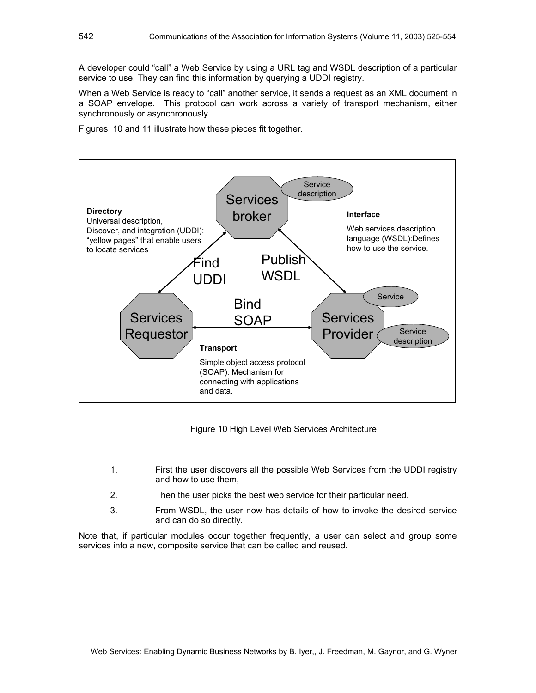A developer could "call" a Web Service by using a URL tag and WSDL description of a particular service to use. They can find this information by querying a UDDI registry.

When a Web Service is ready to "call" another service, it sends a request as an XML document in a SOAP envelope. This protocol can work across a variety of transport mechanism, either synchronously or asynchronously.

Figures 10 and 11 illustrate how these pieces fit together.



Figure 10 High Level Web Services Architecture

- 1. First the user discovers all the possible Web Services from the UDDI registry and how to use them,
- 2. Then the user picks the best web service for their particular need.
- 3. From WSDL, the user now has details of how to invoke the desired service and can do so directly.

Note that, if particular modules occur together frequently, a user can select and group some services into a new, composite service that can be called and reused.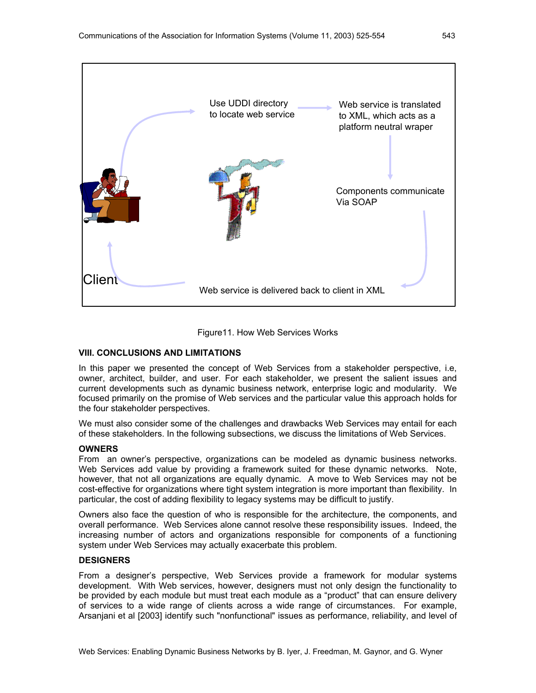



#### **VIII. CONCLUSIONS AND LIMITATIONS**

In this paper we presented the concept of Web Services from a stakeholder perspective, i.e, owner, architect, builder, and user. For each stakeholder, we present the salient issues and current developments such as dynamic business network, enterprise logic and modularity. We focused primarily on the promise of Web services and the particular value this approach holds for the four stakeholder perspectives.

We must also consider some of the challenges and drawbacks Web Services may entail for each of these stakeholders. In the following subsections, we discuss the limitations of Web Services.

#### **OWNERS**

From an owner's perspective, organizations can be modeled as dynamic business networks. Web Services add value by providing a framework suited for these dynamic networks. Note, however, that not all organizations are equally dynamic. A move to Web Services may not be cost-effective for organizations where tight system integration is more important than flexibility. In particular, the cost of adding flexibility to legacy systems may be difficult to justify.

Owners also face the question of who is responsible for the architecture, the components, and overall performance. Web Services alone cannot resolve these responsibility issues. Indeed, the increasing number of actors and organizations responsible for components of a functioning system under Web Services may actually exacerbate this problem.

#### **DESIGNERS**

From a designer's perspective, Web Services provide a framework for modular systems development. With Web services, however, designers must not only design the functionality to be provided by each module but must treat each module as a "product" that can ensure delivery of services to a wide range of clients across a wide range of circumstances. For example, Arsanjani et al [2003] identify such "nonfunctional" issues as performance, reliability, and level of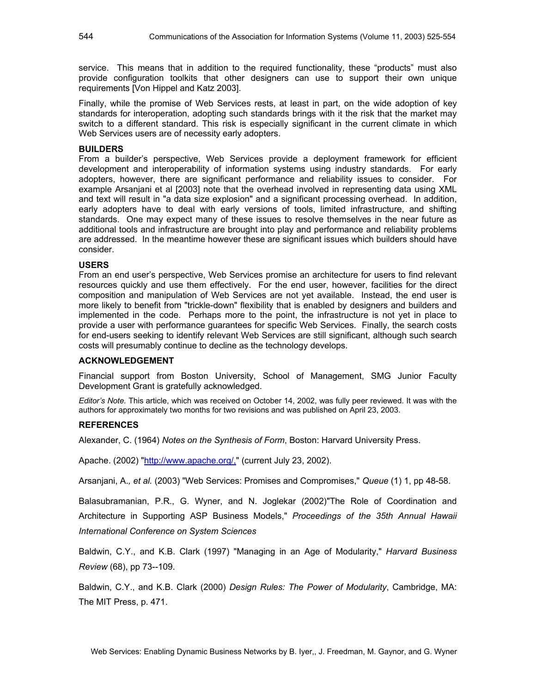service. This means that in addition to the required functionality, these "products" must also provide configuration toolkits that other designers can use to support their own unique requirements [Von Hippel and Katz 2003].

Finally, while the promise of Web Services rests, at least in part, on the wide adoption of key standards for interoperation, adopting such standards brings with it the risk that the market may switch to a different standard. This risk is especially significant in the current climate in which Web Services users are of necessity early adopters.

#### **BUILDERS**

From a builder's perspective, Web Services provide a deployment framework for efficient development and interoperability of information systems using industry standards. For early adopters, however, there are significant performance and reliability issues to consider. For example Arsanjani et al [2003] note that the overhead involved in representing data using XML and text will result in "a data size explosion" and a significant processing overhead. In addition, early adopters have to deal with early versions of tools, limited infrastructure, and shifting standards. One may expect many of these issues to resolve themselves in the near future as additional tools and infrastructure are brought into play and performance and reliability problems are addressed. In the meantime however these are significant issues which builders should have consider.

#### **USERS**

From an end user's perspective, Web Services promise an architecture for users to find relevant resources quickly and use them effectively. For the end user, however, facilities for the direct composition and manipulation of Web Services are not yet available. Instead, the end user is more likely to benefit from "trickle-down" flexibility that is enabled by designers and builders and implemented in the code. Perhaps more to the point, the infrastructure is not yet in place to provide a user with performance guarantees for specific Web Services. Finally, the search costs for end-users seeking to identify relevant Web Services are still significant, although such search costs will presumably continue to decline as the technology develops.

#### **ACKNOWLEDGEMENT**

Financial support from Boston University, School of Management, SMG Junior Faculty Development Grant is gratefully acknowledged.

*Editor's Note.* This article, which was received on October 14, 2002, was fully peer reviewed. It was with the authors for approximately two months for two revisions and was published on April 23, 2003.

#### **REFERENCES**

Alexander, C. (1964) *Notes on the Synthesis of Form*, Boston: Harvard University Press.

Apache. (2002) "http://www.apache.org/," (current July 23, 2002).

Arsanjani, A.*, et al.* (2003) "Web Services: Promises and Compromises," *Queue* (1) 1, pp 48-58.

Balasubramanian, P.R., G. Wyner, and N. Joglekar (2002)"The Role of Coordination and Architecture in Supporting ASP Business Models," *Proceedings of the 35th Annual Hawaii International Conference on System Sciences* 

Baldwin, C.Y., and K.B. Clark (1997) "Managing in an Age of Modularity," *Harvard Business Review* (68), pp 73--109.

Baldwin, C.Y., and K.B. Clark (2000) *Design Rules: The Power of Modularity*, Cambridge, MA: The MIT Press, p. 471.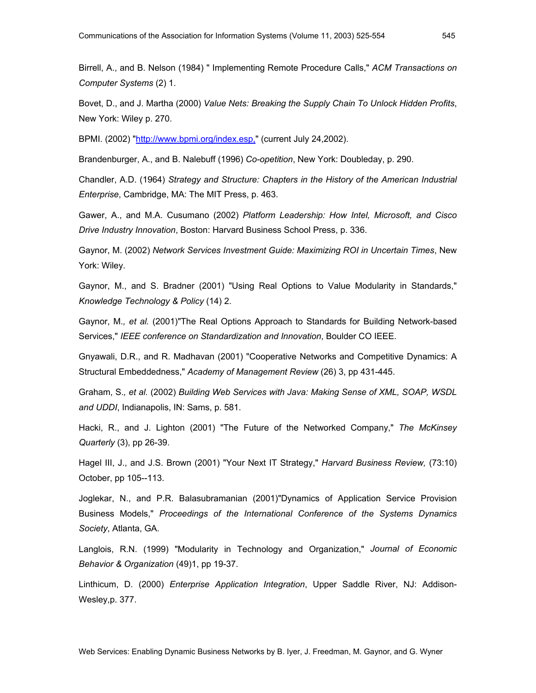Birrell, A., and B. Nelson (1984) " Implementing Remote Procedure Calls," *ACM Transactions on Computer Systems* (2) 1.

Bovet, D., and J. Martha (2000) *Value Nets: Breaking the Supply Chain To Unlock Hidden Profits*, New York: Wiley p. 270.

BPMI. (2002) "http://www.bpmi.org/index.esp." (current July 24,2002).

Brandenburger, A., and B. Nalebuff (1996) *Co-opetition*, New York: Doubleday, p. 290.

Chandler, A.D. (1964) *Strategy and Structure: Chapters in the History of the American Industrial Enterprise*, Cambridge, MA: The MIT Press, p. 463.

Gawer, A., and M.A. Cusumano (2002) *Platform Leadership: How Intel, Microsoft, and Cisco Drive Industry Innovation*, Boston: Harvard Business School Press, p. 336.

Gaynor, M. (2002) *Network Services Investment Guide: Maximizing ROI in Uncertain Times*, New York: Wiley.

Gaynor, M., and S. Bradner (2001) "Using Real Options to Value Modularity in Standards," *Knowledge Technology & Policy* (14) 2.

Gaynor, M.*, et al.* (2001)"The Real Options Approach to Standards for Building Network-based Services," *IEEE conference on Standardization and Innovation*, Boulder CO IEEE.

Gnyawali, D.R., and R. Madhavan (2001) "Cooperative Networks and Competitive Dynamics: A Structural Embeddedness," *Academy of Management Review* (26) 3, pp 431-445.

Graham, S.*, et al.* (2002) *Building Web Services with Java: Making Sense of XML, SOAP, WSDL and UDDI*, Indianapolis, IN: Sams, p. 581.

Hacki, R., and J. Lighton (2001) "The Future of the Networked Company," *The McKinsey Quarterly* (3), pp 26-39.

Hagel III, J., and J.S. Brown (2001) "Your Next IT Strategy," *Harvard Business Review,* (73:10) October, pp 105--113.

Joglekar, N., and P.R. Balasubramanian (2001)"Dynamics of Application Service Provision Business Models," *Proceedings of the International Conference of the Systems Dynamics Society*, Atlanta, GA.

Langlois, R.N. (1999) "Modularity in Technology and Organization," *Journal of Economic Behavior & Organization* (49)1, pp 19-37.

Linthicum, D. (2000) *Enterprise Application Integration*, Upper Saddle River, NJ: Addison-Wesley,p. 377.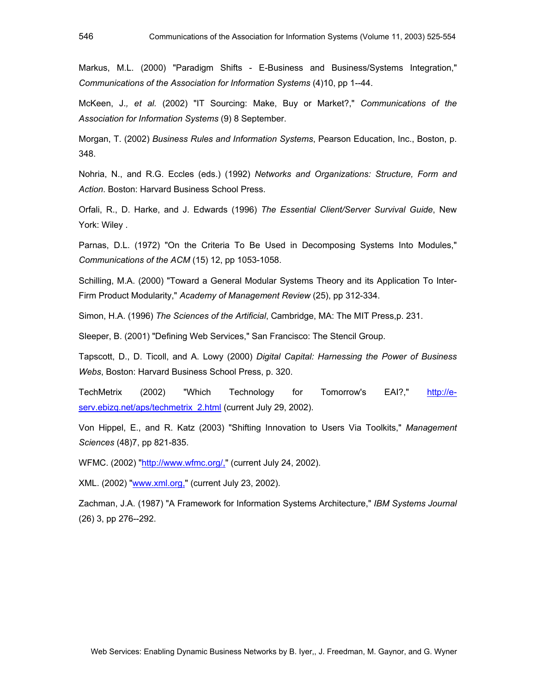Markus, M.L. (2000) "Paradigm Shifts - E-Business and Business/Systems Integration," *Communications of the Association for Information Systems* (4)10, pp 1--44.

McKeen, J.*, et al.* (2002) "IT Sourcing: Make, Buy or Market?," *Communications of the Association for Information Systems* (9) 8 September.

Morgan, T. (2002) *Business Rules and Information Systems*, Pearson Education, Inc., Boston, p. 348.

Nohria, N., and R.G. Eccles (eds.) (1992) *Networks and Organizations: Structure, Form and Action*. Boston: Harvard Business School Press.

Orfali, R., D. Harke, and J. Edwards (1996) *The Essential Client/Server Survival Guide*, New York: Wiley .

Parnas, D.L. (1972) "On the Criteria To Be Used in Decomposing Systems Into Modules," *Communications of the ACM* (15) 12, pp 1053-1058.

Schilling, M.A. (2000) "Toward a General Modular Systems Theory and its Application To Inter-Firm Product Modularity," *Academy of Management Review* (25), pp 312-334.

Simon, H.A. (1996) *The Sciences of the Artificial*, Cambridge, MA: The MIT Press,p. 231.

Sleeper, B. (2001) "Defining Web Services," San Francisco: The Stencil Group.

Tapscott, D., D. Ticoll, and A. Lowy (2000) *Digital Capital: Harnessing the Power of Business Webs*, Boston: Harvard Business School Press, p. 320.

TechMetrix (2002) "Which Technology for Tomorrow's EAI?," http://eserv.ebizq.net/aps/techmetrix 2.html (current July 29, 2002).

Von Hippel, E., and R. Katz (2003) "Shifting Innovation to Users Via Toolkits," *Management Sciences* (48)7, pp 821-835.

WFMC. (2002) "http://www.wfmc.org/," (current July 24, 2002).

XML. (2002) "www.xml.org," (current July 23, 2002).

Zachman, J.A. (1987) "A Framework for Information Systems Architecture," *IBM Systems Journal* (26) 3, pp 276--292.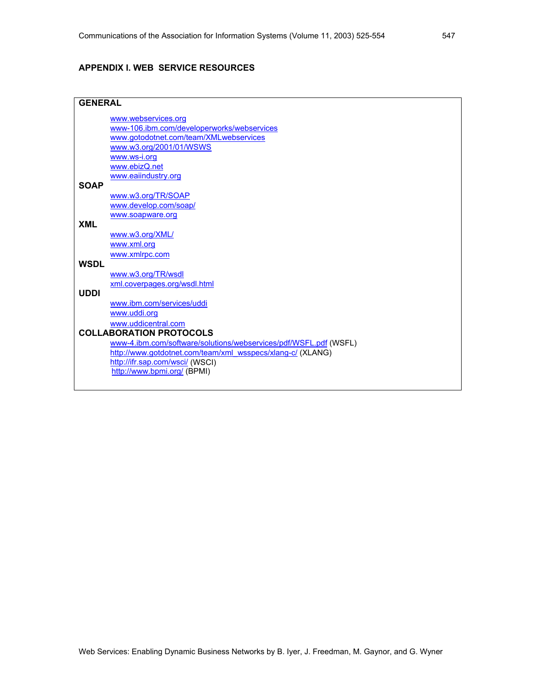#### **APPENDIX I. WEB SERVICE RESOURCES**

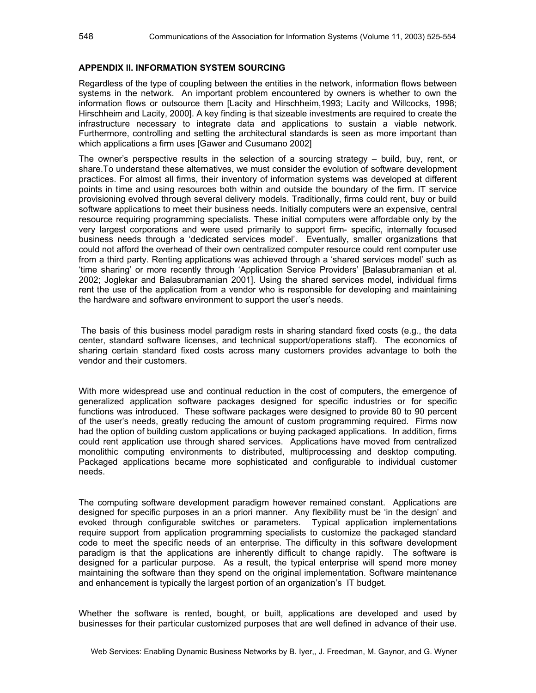#### **APPENDIX II. INFORMATION SYSTEM SOURCING**

Regardless of the type of coupling between the entities in the network, information flows between systems in the network. An important problem encountered by owners is whether to own the information flows or outsource them [Lacity and Hirschheim,1993; Lacity and Willcocks, 1998; Hirschheim and Lacity, 2000]. A key finding is that sizeable investments are required to create the infrastructure necessary to integrate data and applications to sustain a viable network. Furthermore, controlling and setting the architectural standards is seen as more important than which applications a firm uses [Gawer and Cusumano 2002]

The owner's perspective results in the selection of a sourcing strategy – build, buy, rent, or share.To understand these alternatives, we must consider the evolution of software development practices. For almost all firms, their inventory of information systems was developed at different points in time and using resources both within and outside the boundary of the firm. IT service provisioning evolved through several delivery models. Traditionally, firms could rent, buy or build software applications to meet their business needs. Initially computers were an expensive, central resource requiring programming specialists. These initial computers were affordable only by the very largest corporations and were used primarily to support firm- specific, internally focused business needs through a 'dedicated services model'. Eventually, smaller organizations that could not afford the overhead of their own centralized computer resource could rent computer use from a third party. Renting applications was achieved through a 'shared services model' such as 'time sharing' or more recently through 'Application Service Providers' [Balasubramanian et al. 2002; Joglekar and Balasubramanian 2001]. Using the shared services model, individual firms rent the use of the application from a vendor who is responsible for developing and maintaining the hardware and software environment to support the user's needs.

 The basis of this business model paradigm rests in sharing standard fixed costs (e.g., the data center, standard software licenses, and technical support/operations staff). The economics of sharing certain standard fixed costs across many customers provides advantage to both the vendor and their customers.

With more widespread use and continual reduction in the cost of computers, the emergence of generalized application software packages designed for specific industries or for specific functions was introduced. These software packages were designed to provide 80 to 90 percent of the user's needs, greatly reducing the amount of custom programming required. Firms now had the option of building custom applications or buying packaged applications. In addition, firms could rent application use through shared services. Applications have moved from centralized monolithic computing environments to distributed, multiprocessing and desktop computing. Packaged applications became more sophisticated and configurable to individual customer needs.

The computing software development paradigm however remained constant. Applications are designed for specific purposes in an a priori manner. Any flexibility must be 'in the design' and evoked through configurable switches or parameters. Typical application implementations require support from application programming specialists to customize the packaged standard code to meet the specific needs of an enterprise. The difficulty in this software development paradigm is that the applications are inherently difficult to change rapidly. The software is designed for a particular purpose. As a result, the typical enterprise will spend more money maintaining the software than they spend on the original implementation. Software maintenance and enhancement is typically the largest portion of an organization's IT budget.

Whether the software is rented, bought, or built, applications are developed and used by businesses for their particular customized purposes that are well defined in advance of their use.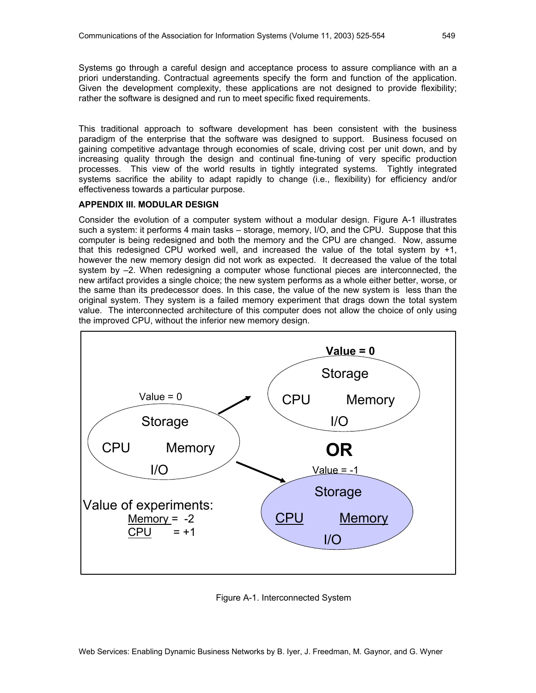Systems go through a careful design and acceptance process to assure compliance with an a priori understanding. Contractual agreements specify the form and function of the application. Given the development complexity, these applications are not designed to provide flexibility; rather the software is designed and run to meet specific fixed requirements.

This traditional approach to software development has been consistent with the business paradigm of the enterprise that the software was designed to support. Business focused on gaining competitive advantage through economies of scale, driving cost per unit down, and by increasing quality through the design and continual fine-tuning of very specific production processes. This view of the world results in tightly integrated systems. Tightly integrated systems sacrifice the ability to adapt rapidly to change (i.e., flexibility) for efficiency and/or effectiveness towards a particular purpose.

#### **APPENDIX III. MODULAR DESIGN**

Consider the evolution of a computer system without a modular design. Figure A-1 illustrates such a system: it performs 4 main tasks – storage, memory, I/O, and the CPU. Suppose that this computer is being redesigned and both the memory and the CPU are changed. Now, assume that this redesigned CPU worked well, and increased the value of the total system by +1, however the new memory design did not work as expected. It decreased the value of the total system by –2. When redesigning a computer whose functional pieces are interconnected, the new artifact provides a single choice; the new system performs as a whole either better, worse, or the same than its predecessor does. In this case, the value of the new system is less than the original system. They system is a failed memory experiment that drags down the total system value. The interconnected architecture of this computer does not allow the choice of only using the improved CPU, without the inferior new memory design.



Figure A-1. Interconnected System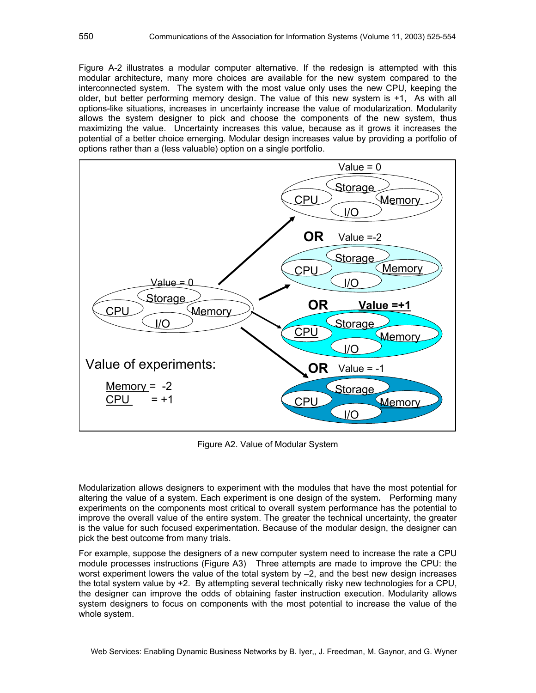Figure A-2 illustrates a modular computer alternative. If the redesign is attempted with this modular architecture, many more choices are available for the new system compared to the interconnected system. The system with the most value only uses the new CPU, keeping the older, but better performing memory design. The value of this new system is +1, As with all options-like situations, increases in uncertainty increase the value of modularization. Modularity allows the system designer to pick and choose the components of the new system, thus maximizing the value. Uncertainty increases this value, because as it grows it increases the potential of a better choice emerging. Modular design increases value by providing a portfolio of options rather than a (less valuable) option on a single portfolio.



Figure A2. Value of Modular System

Modularization allows designers to experiment with the modules that have the most potential for altering the value of a system. Each experiment is one design of the system**.** Performing many experiments on the components most critical to overall system performance has the potential to improve the overall value of the entire system. The greater the technical uncertainty, the greater is the value for such focused experimentation. Because of the modular design, the designer can pick the best outcome from many trials.

For example, suppose the designers of a new computer system need to increase the rate a CPU module processes instructions (Figure A3) Three attempts are made to improve the CPU: the worst experiment lowers the value of the total system by –2, and the best new design increases the total system value by +2. By attempting several technically risky new technologies for a CPU, the designer can improve the odds of obtaining faster instruction execution. Modularity allows system designers to focus on components with the most potential to increase the value of the whole system.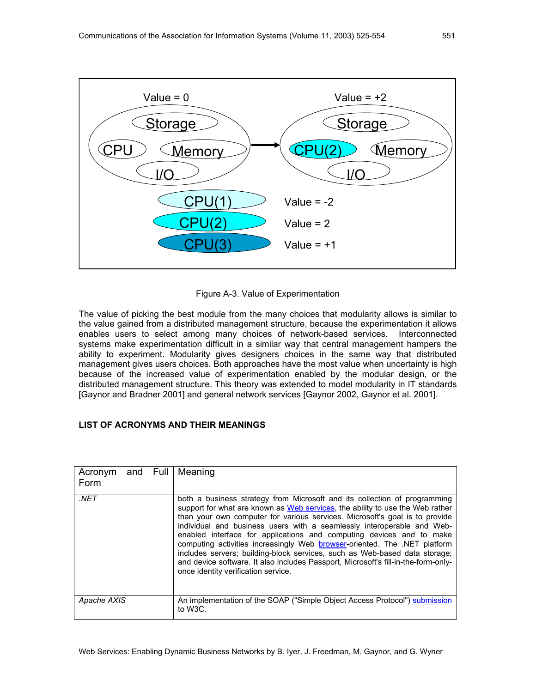

Figure A-3. Value of Experimentation

The value of picking the best module from the many choices that modularity allows is similar to the value gained from a distributed management structure, because the experimentation it allows enables users to select among many choices of network-based services. Interconnected systems make experimentation difficult in a similar way that central management hampers the ability to experiment. Modularity gives designers choices in the same way that distributed management gives users choices. Both approaches have the most value when uncertainty is high because of the increased value of experimentation enabled by the modular design, or the distributed management structure. This theory was extended to model modularity in IT standards [Gaynor and Bradner 2001] and general network services [Gaynor 2002, Gaynor et al. 2001].

#### **LIST OF ACRONYMS AND THEIR MEANINGS**

| Acronym and Full   Meaning<br>Form |  |                                                                                                                                                                                                                                                                                                                                                                                                                                                                                                                                                                                                                                                                                     |
|------------------------------------|--|-------------------------------------------------------------------------------------------------------------------------------------------------------------------------------------------------------------------------------------------------------------------------------------------------------------------------------------------------------------------------------------------------------------------------------------------------------------------------------------------------------------------------------------------------------------------------------------------------------------------------------------------------------------------------------------|
| .NET                               |  | both a business strategy from Microsoft and its collection of programming<br>support for what are known as Web services, the ability to use the Web rather<br>than your own computer for various services. Microsoft's goal is to provide<br>individual and business users with a seamlessly interoperable and Web-<br>enabled interface for applications and computing devices and to make<br>computing activities increasingly Web browser-oriented. The .NET platform<br>includes servers; building-block services, such as Web-based data storage;<br>and device software. It also includes Passport, Microsoft's fill-in-the-form-only-<br>once identity verification service. |
| Apache AXIS                        |  | An implementation of the SOAP ("Simple Object Access Protocol") submission<br>to W <sub>3</sub> C.                                                                                                                                                                                                                                                                                                                                                                                                                                                                                                                                                                                  |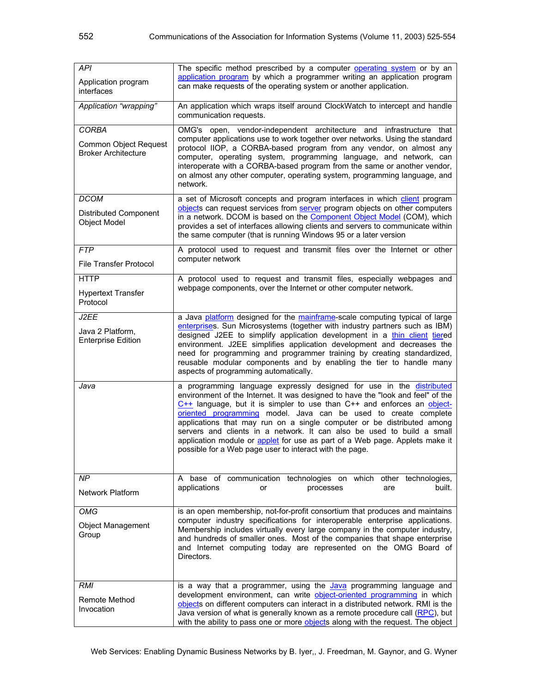| <b>API</b><br>Application program<br>interfaces                     | The specific method prescribed by a computer <b>operating system</b> or by an<br>application program by which a programmer writing an application program<br>can make requests of the operating system or another application.                                                                                                                                                                                                                                                                                                                                                                          |  |  |  |  |  |  |
|---------------------------------------------------------------------|---------------------------------------------------------------------------------------------------------------------------------------------------------------------------------------------------------------------------------------------------------------------------------------------------------------------------------------------------------------------------------------------------------------------------------------------------------------------------------------------------------------------------------------------------------------------------------------------------------|--|--|--|--|--|--|
| Application "wrapping"                                              | An application which wraps itself around ClockWatch to intercept and handle<br>communication requests.                                                                                                                                                                                                                                                                                                                                                                                                                                                                                                  |  |  |  |  |  |  |
| <b>CORBA</b><br>Common Object Request<br><b>Broker Architecture</b> | OMG's open, vendor-independent architecture and infrastructure that<br>computer applications use to work together over networks. Using the standard<br>protocol IIOP, a CORBA-based program from any vendor, on almost any<br>computer, operating system, programming language, and network, can<br>interoperate with a CORBA-based program from the same or another vendor,<br>on almost any other computer, operating system, programming language, and<br>network.                                                                                                                                   |  |  |  |  |  |  |
| <b>DCOM</b><br><b>Distributed Component</b><br>Object Model         | a set of Microsoft concepts and program interfaces in which client program<br>objects can request services from server program objects on other computers<br>in a network. DCOM is based on the Component Object Model (COM), which<br>provides a set of interfaces allowing clients and servers to communicate within<br>the same computer (that is running Windows 95 or a later version                                                                                                                                                                                                              |  |  |  |  |  |  |
| <b>FTP</b><br>File Transfer Protocol                                | A protocol used to request and transmit files over the Internet or other<br>computer network                                                                                                                                                                                                                                                                                                                                                                                                                                                                                                            |  |  |  |  |  |  |
| <b>HTTP</b><br><b>Hypertext Transfer</b><br>Protocol                | A protocol used to request and transmit files, especially webpages and<br>webpage components, over the Internet or other computer network.                                                                                                                                                                                                                                                                                                                                                                                                                                                              |  |  |  |  |  |  |
| J2EE<br>Java 2 Platform,<br><b>Enterprise Edition</b>               | a Java platform designed for the mainframe-scale computing typical of large<br>enterprises. Sun Microsystems (together with industry partners such as IBM)<br>designed J2EE to simplify application development in a thin client tiered<br>environment. J2EE simplifies application development and decreases the<br>need for programming and programmer training by creating standardized,<br>reusable modular components and by enabling the tier to handle many<br>aspects of programming automatically.                                                                                             |  |  |  |  |  |  |
| Java                                                                | a programming language expressly designed for use in the distributed<br>environment of the Internet. It was designed to have the "look and feel" of the<br>$C++$ language, but it is simpler to use than $C++$ and enforces an object-<br>oriented programming model. Java can be used to create complete<br>applications that may run on a single computer or be distributed among<br>servers and clients in a network. It can also be used to build a small<br>application module or applet for use as part of a Web page. Applets make it<br>possible for a Web page user to interact with the page. |  |  |  |  |  |  |
| NP<br><b>Network Platform</b>                                       | A base of communication technologies on which other technologies,<br>applications<br>built.<br>or<br>processes<br>are                                                                                                                                                                                                                                                                                                                                                                                                                                                                                   |  |  |  |  |  |  |
| <b>OMG</b><br><b>Object Management</b><br>Group                     | is an open membership, not-for-profit consortium that produces and maintains<br>computer industry specifications for interoperable enterprise applications.<br>Membership includes virtually every large company in the computer industry,<br>and hundreds of smaller ones. Most of the companies that shape enterprise<br>and Internet computing today are represented on the OMG Board of<br>Directors.                                                                                                                                                                                               |  |  |  |  |  |  |
| <b>RMI</b><br>Remote Method<br>Invocation                           | is a way that a programmer, using the Java programming language and<br>development environment, can write object-oriented programming in which<br>objects on different computers can interact in a distributed network. RMI is the<br>Java version of what is generally known as a remote procedure call (RPC), but<br>with the ability to pass one or more objects along with the request. The object                                                                                                                                                                                                  |  |  |  |  |  |  |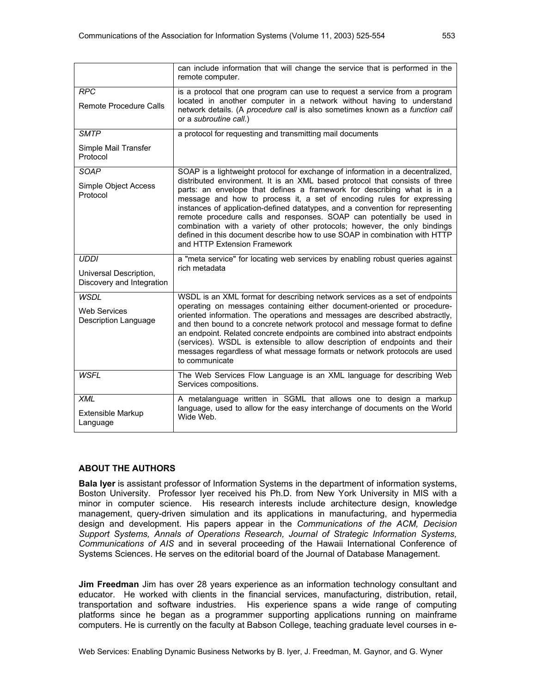|                                                                    | can include information that will change the service that is performed in the<br>remote computer.                                                                                                                                                                                                                                                                                                                                                                                                                                                                                                                                                                      |  |  |  |  |
|--------------------------------------------------------------------|------------------------------------------------------------------------------------------------------------------------------------------------------------------------------------------------------------------------------------------------------------------------------------------------------------------------------------------------------------------------------------------------------------------------------------------------------------------------------------------------------------------------------------------------------------------------------------------------------------------------------------------------------------------------|--|--|--|--|
| <b>RPC</b><br><b>Remote Procedure Calls</b>                        | is a protocol that one program can use to request a service from a program<br>located in another computer in a network without having to understand<br>network details. (A procedure call is also sometimes known as a function call<br>or a subroutine call.)                                                                                                                                                                                                                                                                                                                                                                                                         |  |  |  |  |
| <b>SMTP</b>                                                        | a protocol for requesting and transmitting mail documents                                                                                                                                                                                                                                                                                                                                                                                                                                                                                                                                                                                                              |  |  |  |  |
| Simple Mail Transfer<br>Protocol                                   |                                                                                                                                                                                                                                                                                                                                                                                                                                                                                                                                                                                                                                                                        |  |  |  |  |
| SOAP<br>Simple Object Access<br>Protocol                           | SOAP is a lightweight protocol for exchange of information in a decentralized,<br>distributed environment. It is an XML based protocol that consists of three<br>parts: an envelope that defines a framework for describing what is in a<br>message and how to process it, a set of encoding rules for expressing<br>instances of application-defined datatypes, and a convention for representing<br>remote procedure calls and responses. SOAP can potentially be used in<br>combination with a variety of other protocols; however, the only bindings<br>defined in this document describe how to use SOAP in combination with HTTP<br>and HTTP Extension Framework |  |  |  |  |
| <b>UDDI</b><br>Universal Description,<br>Discovery and Integration | a "meta service" for locating web services by enabling robust queries against<br>rich metadata                                                                                                                                                                                                                                                                                                                                                                                                                                                                                                                                                                         |  |  |  |  |
| <b>WSDL</b><br><b>Web Services</b><br><b>Description Language</b>  | WSDL is an XML format for describing network services as a set of endpoints<br>operating on messages containing either document-oriented or procedure-<br>oriented information. The operations and messages are described abstractly,<br>and then bound to a concrete network protocol and message format to define<br>an endpoint. Related concrete endpoints are combined into abstract endpoints<br>(services). WSDL is extensible to allow description of endpoints and their<br>messages regardless of what message formats or network protocols are used<br>to communicate                                                                                       |  |  |  |  |
| <b>WSFL</b>                                                        | The Web Services Flow Language is an XML language for describing Web<br>Services compositions.                                                                                                                                                                                                                                                                                                                                                                                                                                                                                                                                                                         |  |  |  |  |
| <b>XML</b><br><b>Extensible Markup</b><br>Language                 | A metalanguage written in SGML that allows one to design a markup<br>language, used to allow for the easy interchange of documents on the World<br>Wide Web.                                                                                                                                                                                                                                                                                                                                                                                                                                                                                                           |  |  |  |  |

#### **ABOUT THE AUTHORS**

**Bala Iyer** is assistant professor of Information Systems in the department of information systems, Boston University. Professor Iyer received his Ph.D. from New York University in MIS with a minor in computer science. His research interests include architecture design, knowledge management, query-driven simulation and its applications in manufacturing, and hypermedia design and development. His papers appear in the *Communications of the ACM, Decision Support Systems, Annals of Operations Research, Journal of Strategic Information Systems, Communications of AIS* and in several proceeding of the Hawaii International Conference of Systems Sciences. He serves on the editorial board of the Journal of Database Management.

**Jim Freedman** Jim has over 28 years experience as an information technology consultant and educator. He worked with clients in the financial services, manufacturing, distribution, retail, transportation and software industries. His experience spans a wide range of computing platforms since he began as a programmer supporting applications running on mainframe computers. He is currently on the faculty at Babson College, teaching graduate level courses in e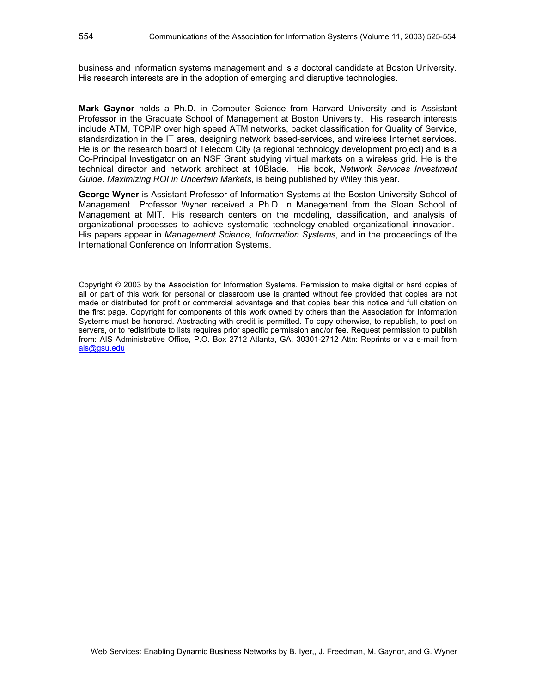business and information systems management and is a doctoral candidate at Boston University. His research interests are in the adoption of emerging and disruptive technologies.

**Mark Gaynor** holds a Ph.D. in Computer Science from Harvard University and is Assistant Professor in the Graduate School of Management at Boston University. His research interests include ATM, TCP/IP over high speed ATM networks, packet classification for Quality of Service, standardization in the IT area, designing network based-services, and wireless Internet services. He is on the research board of Telecom City (a regional technology development project) and is a Co-Principal Investigator on an NSF Grant studying virtual markets on a wireless grid. He is the technical director and network architect at 10Blade. His book, *Network Services Investment Guide: Maximizing ROI in Uncertain Markets*, is being published by Wiley this year.

**George Wyner** is Assistant Professor of Information Systems at the Boston University School of Management. Professor Wyner received a Ph.D. in Management from the Sloan School of Management at MIT. His research centers on the modeling, classification, and analysis of organizational processes to achieve systematic technology-enabled organizational innovation. His papers appear in *Management Science, Information Systems*, and in the proceedings of the International Conference on Information Systems.

Copyright © 2003 by the Association for Information Systems. Permission to make digital or hard copies of all or part of this work for personal or classroom use is granted without fee provided that copies are not made or distributed for profit or commercial advantage and that copies bear this notice and full citation on the first page. Copyright for components of this work owned by others than the Association for Information Systems must be honored. Abstracting with credit is permitted. To copy otherwise, to republish, to post on servers, or to redistribute to lists requires prior specific permission and/or fee. Request permission to publish from: AIS Administrative Office, P.O. Box 2712 Atlanta, GA, 30301-2712 Attn: Reprints or via e-mail from ais@gsu.edu .